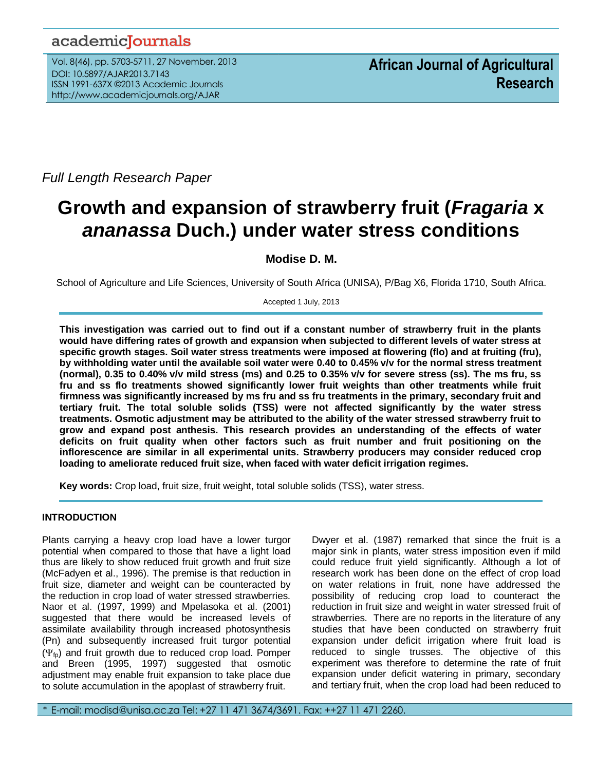## academicJournals

Vol. 8(46), pp. 5703-5711, 27 November, 2013 DOI: 10.5897/AJAR2013.7143 ISSN 1991-637X ©2013 Academic Journals http://www.academicjournals.org/AJAR

*Full Length Research Paper*

# **Growth and expansion of strawberry fruit (***Fragaria* **x**  *ananassa* **Duch.) under water stress conditions**

## **Modise D. M.**

School of Agriculture and Life Sciences, University of South Africa (UNISA), P/Bag X6, Florida 1710, South Africa.

Accepted 1 July, 2013

**This investigation was carried out to find out if a constant number of strawberry fruit in the plants would have differing rates of growth and expansion when subjected to different levels of water stress at specific growth stages. Soil water stress treatments were imposed at flowering (flo) and at fruiting (fru), by withholding water until the available soil water were 0.40 to 0.45% v/v for the normal stress treatment (normal), 0.35 to 0.40% v/v mild stress (ms) and 0.25 to 0.35% v/v for severe stress (ss). The ms fru, ss fru and ss flo treatments showed significantly lower fruit weights than other treatments while fruit firmness was significantly increased by ms fru and ss fru treatments in the primary, secondary fruit and tertiary fruit. The total soluble solids (TSS) were not affected significantly by the water stress treatments. Osmotic adjustment may be attributed to the ability of the water stressed strawberry fruit to grow and expand post anthesis. This research provides an understanding of the effects of water deficits on fruit quality when other factors such as fruit number and fruit positioning on the inflorescence are similar in all experimental units. Strawberry producers may consider reduced crop loading to ameliorate reduced fruit size, when faced with water deficit irrigation regimes.**

**Key words:** Crop load, fruit size, fruit weight, total soluble solids (TSS), water stress.

## **INTRODUCTION**

Plants carrying a heavy crop load have a lower turgor potential when compared to those that have a light load thus are likely to show reduced fruit growth and fruit size (McFadyen et al., 1996). The premise is that reduction in fruit size, diameter and weight can be counteracted by the reduction in crop load of water stressed strawberries. Naor et al. (1997, 1999) and Mpelasoka et al. (2001) suggested that there would be increased levels of assimilate availability through increased photosynthesis (Pn) and subsequently increased fruit turgor potential  $(\Psi_{fp})$  and fruit growth due to reduced crop load. Pomper and Breen (1995, 1997) suggested that osmotic adjustment may enable fruit expansion to take place due to solute accumulation in the apoplast of strawberry fruit.

Dwyer et al. (1987) remarked that since the fruit is a major sink in plants, water stress imposition even if mild could reduce fruit yield significantly. Although a lot of research work has been done on the effect of crop load on water relations in fruit, none have addressed the possibility of reducing crop load to counteract the reduction in fruit size and weight in water stressed fruit of strawberries. There are no reports in the literature of any studies that have been conducted on strawberry fruit expansion under deficit irrigation where fruit load is reduced to single trusses. The objective of this experiment was therefore to determine the rate of fruit expansion under deficit watering in primary, secondary and tertiary fruit, when the crop load had been reduced to

\* E-mail: modisd@unisa.ac.za Tel: +27 11 471 3674/3691. Fax: ++27 11 471 2260.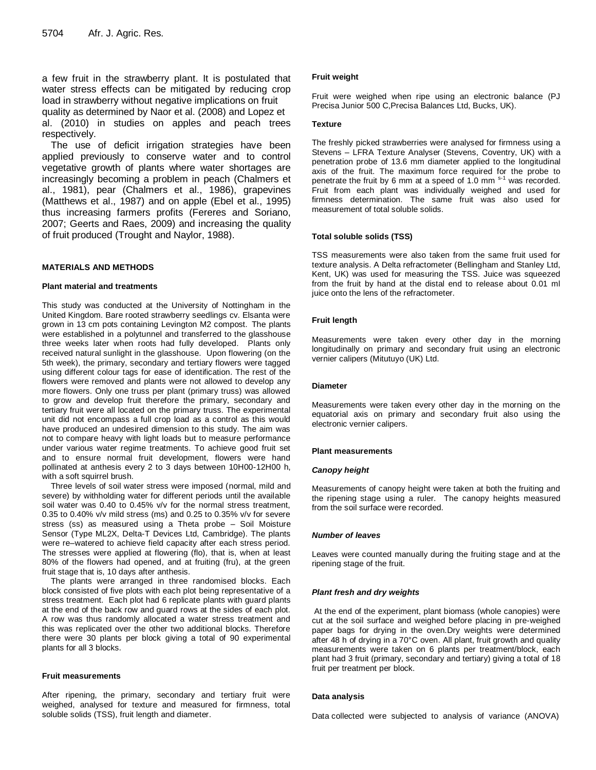a few fruit in the strawberry plant. It is postulated that water stress effects can be mitigated by reducing crop load in strawberry without negative implications on fruit quality as determined by Naor et al. (2008) and Lopez et al. (2010) in studies on apples and peach trees respectively.

The use of deficit irrigation strategies have been applied previously to conserve water and to control vegetative growth of plants where water shortages are increasingly becoming a problem in peach (Chalmers et al., 1981), pear (Chalmers et al., 1986), grapevines (Matthews et al., 1987) and on apple (Ebel et al., 1995) thus increasing farmers profits (Fereres and Soriano, 2007; Geerts and Raes, 2009) and increasing the quality of fruit produced (Trought and Naylor, 1988).

## **MATERIALS AND METHODS**

#### **Plant material and treatments**

This study was conducted at the University of Nottingham in the United Kingdom. Bare rooted strawberry seedlings cv. Elsanta were grown in 13 cm pots containing Levington M2 compost. The plants were established in a polytunnel and transferred to the glasshouse three weeks later when roots had fully developed. Plants only received natural sunlight in the glasshouse. Upon flowering (on the 5th week), the primary, secondary and tertiary flowers were tagged using different colour tags for ease of identification. The rest of the flowers were removed and plants were not allowed to develop any more flowers. Only one truss per plant (primary truss) was allowed to grow and develop fruit therefore the primary, secondary and tertiary fruit were all located on the primary truss. The experimental unit did not encompass a full crop load as a control as this would have produced an undesired dimension to this study. The aim was not to compare heavy with light loads but to measure performance under various water regime treatments. To achieve good fruit set and to ensure normal fruit development, flowers were hand pollinated at anthesis every 2 to 3 days between 10H00-12H00 h, with a soft squirrel brush.

Three levels of soil water stress were imposed (normal, mild and severe) by withholding water for different periods until the available soil water was 0.40 to 0.45% v/v for the normal stress treatment, 0.35 to 0.40% v/v mild stress (ms) and 0.25 to 0.35% v/v for severe stress (ss) as measured using a Theta probe – Soil Moisture Sensor (Type ML2X, Delta-T Devices Ltd, Cambridge). The plants were re–watered to achieve field capacity after each stress period. The stresses were applied at flowering (flo), that is, when at least 80% of the flowers had opened, and at fruiting (fru), at the green fruit stage that is, 10 days after anthesis.

The plants were arranged in three randomised blocks. Each block consisted of five plots with each plot being representative of a stress treatment. Each plot had 6 replicate plants with guard plants at the end of the back row and guard rows at the sides of each plot. A row was thus randomly allocated a water stress treatment and this was replicated over the other two additional blocks. Therefore there were 30 plants per block giving a total of 90 experimental plants for all 3 blocks.

#### **Fruit measurements**

After ripening, the primary, secondary and tertiary fruit were weighed, analysed for texture and measured for firmness, total soluble solids (TSS), fruit length and diameter.

## **Fruit weight**

Fruit were weighed when ripe using an electronic balance (PJ Precisa Junior 500 C,Precisa Balances Ltd, Bucks, UK).

#### **Texture**

The freshly picked strawberries were analysed for firmness using a Stevens – LFRA Texture Analyser (Stevens, Coventry, UK) with a penetration probe of 13.6 mm diameter applied to the longitudinal axis of the fruit. The maximum force required for the probe to penetrate the fruit by 6 mm at a speed of 1.0 mm  $s-1$  was recorded. Fruit from each plant was individually weighed and used for firmness determination. The same fruit was also used for measurement of total soluble solids.

#### **Total soluble solids (TSS)**

TSS measurements were also taken from the same fruit used for texture analysis. A Delta refractometer (Bellingham and Stanley Ltd, Kent, UK) was used for measuring the TSS. Juice was squeezed from the fruit by hand at the distal end to release about 0.01 ml juice onto the lens of the refractometer.

#### **Fruit length**

Measurements were taken every other day in the morning longitudinally on primary and secondary fruit using an electronic vernier calipers (Mitutuyo (UK) Ltd.

#### **Diameter**

Measurements were taken every other day in the morning on the equatorial axis on primary and secondary fruit also using the electronic vernier calipers.

#### **Plant measurements**

#### *Canopy height*

Measurements of canopy height were taken at both the fruiting and the ripening stage using a ruler. The canopy heights measured from the soil surface were recorded.

#### *Number of leaves*

Leaves were counted manually during the fruiting stage and at the ripening stage of the fruit.

#### *Plant fresh and dry weights*

At the end of the experiment, plant biomass (whole canopies) were cut at the soil surface and weighed before placing in pre-weighed paper bags for drying in the oven.Dry weights were determined after 48 h of drying in a 70°C oven. All plant, fruit growth and quality measurements were taken on 6 plants per treatment/block, each plant had 3 fruit (primary, secondary and tertiary) giving a total of 18 fruit per treatment per block.

#### **Data analysis**

Data collected were subjected to analysis of variance (ANOVA)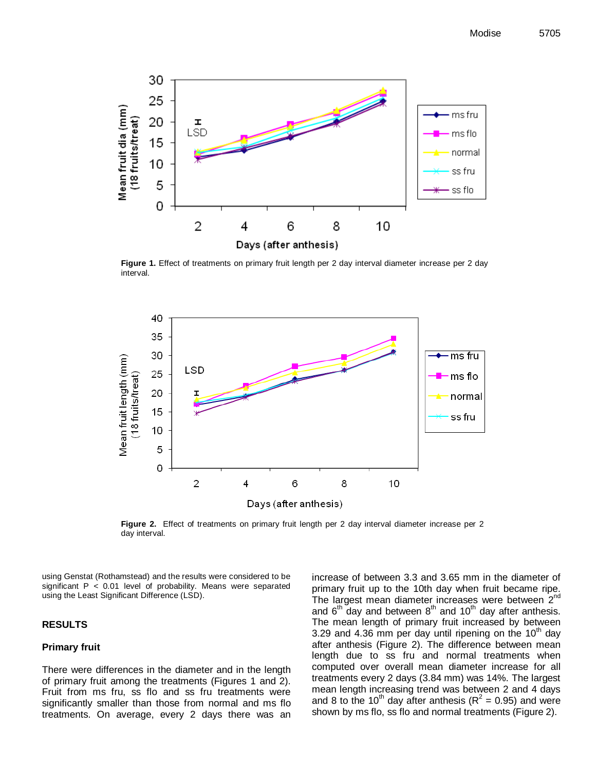

**Figure 1.** Effect of treatments on primary fruit length per 2 day interval diameter increase per 2 day interval.



**Figure 2.** Effect of treatments on primary fruit length per 2 day interval diameter increase per 2 day interval.

using Genstat (Rothamstead) and the results were considered to be significant  $P < 0.01$  level of probability. Means were separated using the Least Significant Difference (LSD).

## **RESULTS**

## **Primary fruit**

There were differences in the diameter and in the length of primary fruit among the treatments (Figures 1 and 2). Fruit from ms fru, ss flo and ss fru treatments were significantly smaller than those from normal and ms flo treatments. On average, every 2 days there was an

increase of between 3.3 and 3.65 mm in the diameter of primary fruit up to the 10th day when fruit became ripe. The largest mean diameter increases were between 2<sup>nd</sup> and  $6<sup>th</sup>$  day and between  $8<sup>th</sup>$  and  $10<sup>th</sup>$  day after anthesis. The mean length of primary fruit increased by between 3.29 and 4.36 mm per day until ripening on the  $10<sup>th</sup>$  day after anthesis (Figure 2). The difference between mean length due to ss fru and normal treatments when computed over overall mean diameter increase for all treatments every 2 days (3.84 mm) was 14%. The largest mean length increasing trend was between 2 and 4 days and 8 to the 10<sup>th</sup> day after anthesis ( $R^2$  = 0.95) and were shown by ms flo, ss flo and normal treatments (Figure 2).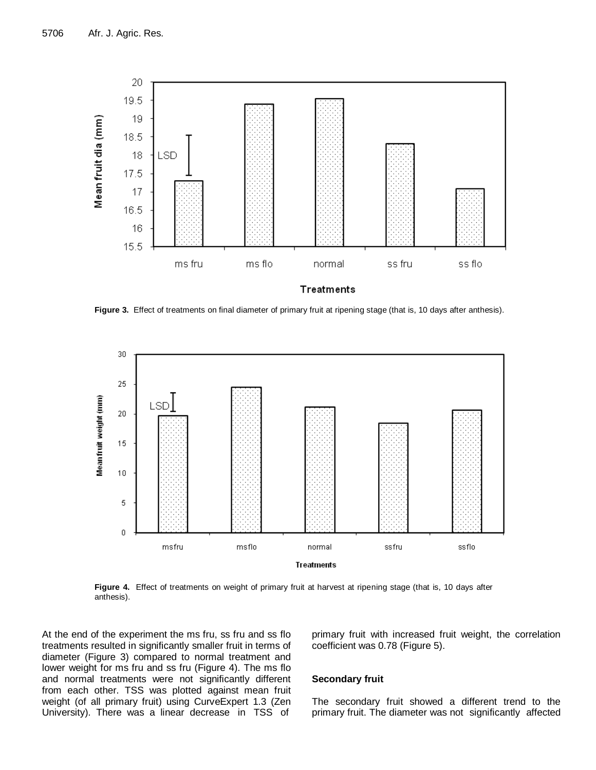

Figure 3. Effect of treatments on final diameter of primary fruit at ripening stage (that is, 10 days after anthesis).



**Figure 4.** Effect of treatments on weight of primary fruit at harvest at ripening stage (that is, 10 days after anthesis).

At the end of the experiment the ms fru, ss fru and ss flo treatments resulted in significantly smaller fruit in terms of diameter (Figure 3) compared to normal treatment and lower weight for ms fru and ss fru (Figure 4). The ms flo and normal treatments were not significantly different from each other. TSS was plotted against mean fruit weight (of all primary fruit) using CurveExpert 1.3 (Zen University). There was a linear decrease in TSS of primary fruit with increased fruit weight, the correlation coefficient was 0.78 (Figure 5).

## **Secondary fruit**

The secondary fruit showed a different trend to the primary fruit. The diameter was not significantly affected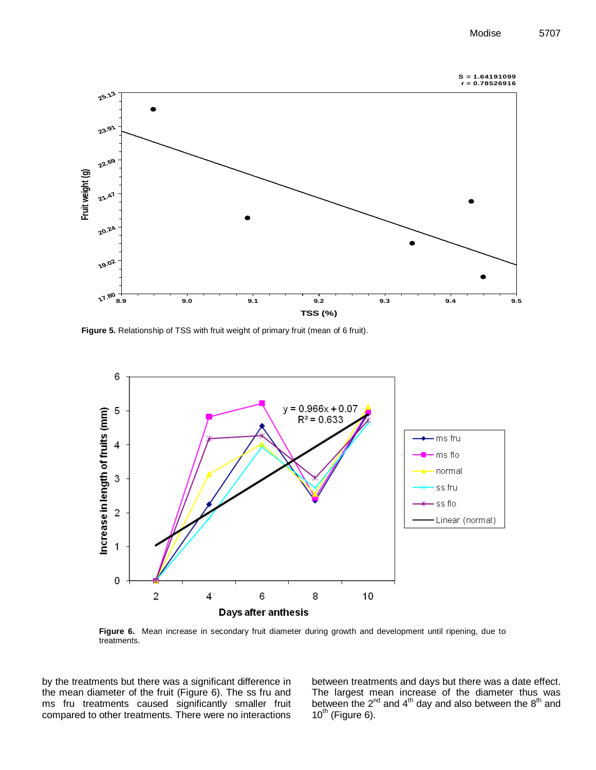



**Figure 5.** Relationship of TSS with fruit weight of primary fruit (mean of 6 fruit).



**Figure 6.** Mean increase in secondary fruit diameter during growth and development until ripening, due to treatments.

by the treatments but there was a significant difference in the mean diameter of the fruit (Figure 6). The ss fru and ms fru treatments caused significantly smaller fruit compared to other treatments. There were no interactions between treatments and days but there was a date effect. The largest mean increase of the diameter thus was between the  $2^{nd}$  and  $4^{th}$  day and also between the  $8^{th}$  and  $10^{th}$  (Figure 6).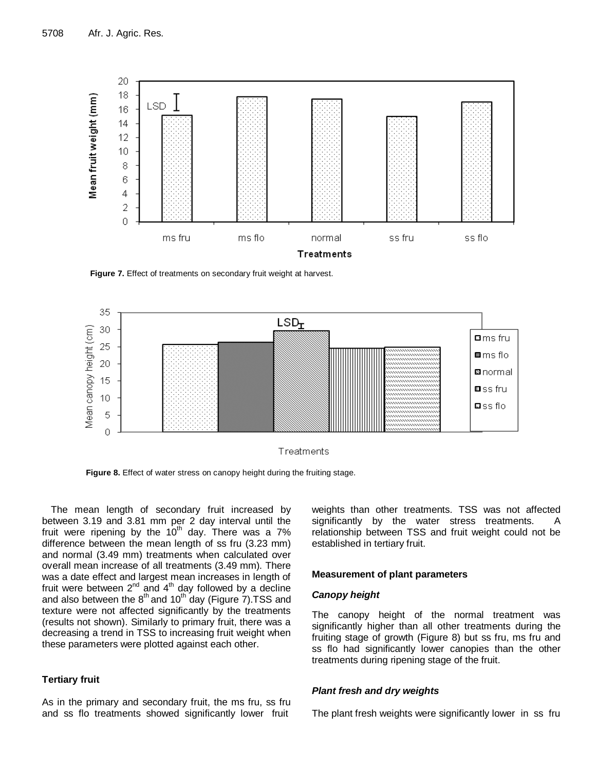

**Figure 7.** Effect of treatments on secondary fruit weight at harvest.



**Figure 8.** Effect of water stress on canopy height during the fruiting stage.

The mean length of secondary fruit increased by between 3.19 and 3.81 mm per 2 day interval until the fruit were ripening by the  $10<sup>th</sup>$  day. There was a 7% difference between the mean length of ss fru (3.23 mm) and normal (3.49 mm) treatments when calculated over overall mean increase of all treatments (3.49 mm). There was a date effect and largest mean increases in length of fruit were between  $2^{nd}$  and  $4^{th}$  day followed by a decline and also between the  $8<sup>th</sup>$  and 10<sup>th</sup> day (Figure 7). TSS and texture were not affected significantly by the treatments (results not shown). Similarly to primary fruit, there was a decreasing a trend in TSS to increasing fruit weight when these parameters were plotted against each other.

## **Tertiary fruit**

As in the primary and secondary fruit, the ms fru, ss fru and ss flo treatments showed significantly lower fruit

weights than other treatments. TSS was not affected significantly by the water stress treatments. A relationship between TSS and fruit weight could not be established in tertiary fruit.

## **Measurement of plant parameters**

## *Canopy height*

The canopy height of the normal treatment was significantly higher than all other treatments during the fruiting stage of growth (Figure 8) but ss fru, ms fru and ss flo had significantly lower canopies than the other treatments during ripening stage of the fruit.

## *Plant fresh and dry weights*

The plant fresh weights were significantly lower in ss fru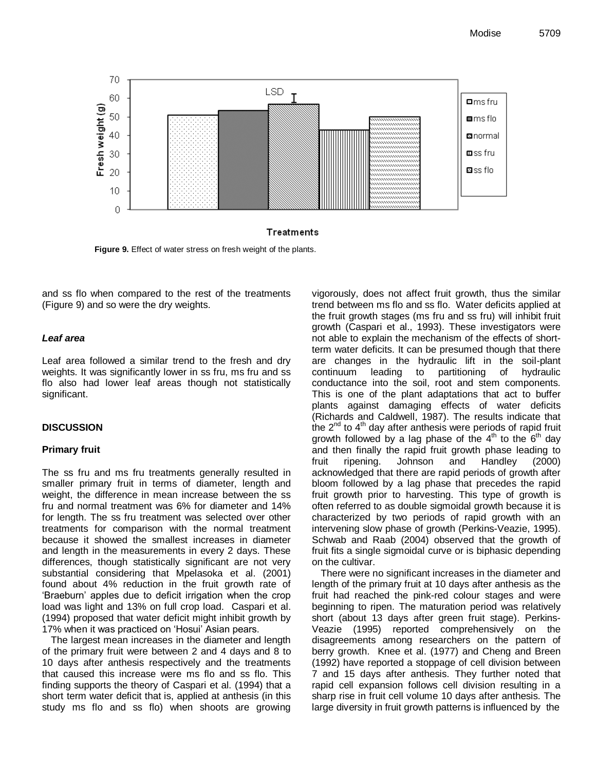

**Figure 9.** Effect of water stress on fresh weight of the plants.

and ss flo when compared to the rest of the treatments (Figure 9) and so were the dry weights.

## *Leaf area*

Leaf area followed a similar trend to the fresh and dry weights. It was significantly lower in ss fru, ms fru and ss flo also had lower leaf areas though not statistically significant.

## **DISCUSSION**

## **Primary fruit**

The ss fru and ms fru treatments generally resulted in smaller primary fruit in terms of diameter, length and weight, the difference in mean increase between the ss fru and normal treatment was 6% for diameter and 14% for length. The ss fru treatment was selected over other treatments for comparison with the normal treatment because it showed the smallest increases in diameter and length in the measurements in every 2 days. These differences, though statistically significant are not very substantial considering that Mpelasoka et al. (2001) found about 4% reduction in the fruit growth rate of 'Braeburn' apples due to deficit irrigation when the crop load was light and 13% on full crop load. Caspari et al. (1994) proposed that water deficit might inhibit growth by 17% when it was practiced on 'Hosui' Asian pears.

The largest mean increases in the diameter and length of the primary fruit were between 2 and 4 days and 8 to 10 days after anthesis respectively and the treatments that caused this increase were ms flo and ss flo. This finding supports the theory of Caspari et al. (1994) that a short term water deficit that is, applied at anthesis (in this study ms flo and ss flo) when shoots are growing vigorously, does not affect fruit growth, thus the similar trend between ms flo and ss flo. Water deficits applied at the fruit growth stages (ms fru and ss fru) will inhibit fruit growth (Caspari et al., 1993). These investigators were not able to explain the mechanism of the effects of shortterm water deficits. It can be presumed though that there are changes in the hydraulic lift in the soil-plant continuum leading to partitioning of hydraulic conductance into the soil, root and stem components. This is one of the plant adaptations that act to buffer plants against damaging effects of water deficits (Richards and Caldwell, 1987). The results indicate that the  $2^{nd}$  to  $4^{th}$  day after anthesis were periods of rapid fruit growth followed by a lag phase of the  $4<sup>th</sup>$  to the  $6<sup>th</sup>$  day and then finally the rapid fruit growth phase leading to fruit ripening. Johnson and Handley (2000) acknowledged that there are rapid periods of growth after bloom followed by a lag phase that precedes the rapid fruit growth prior to harvesting. This type of growth is often referred to as double sigmoidal growth because it is characterized by two periods of rapid growth with an intervening slow phase of growth (Perkins-Veazie, 1995). Schwab and Raab (2004) observed that the growth of fruit fits a single sigmoidal curve or is biphasic depending on the cultivar.

There were no significant increases in the diameter and length of the primary fruit at 10 days after anthesis as the fruit had reached the pink-red colour stages and were beginning to ripen. The maturation period was relatively short (about 13 days after green fruit stage). Perkins-Veazie (1995) reported comprehensively on the disagreements among researchers on the pattern of berry growth. Knee et al. (1977) and Cheng and Breen (1992) have reported a stoppage of cell division between 7 and 15 days after anthesis. They further noted that rapid cell expansion follows cell division resulting in a sharp rise in fruit cell volume 10 days after anthesis. The large diversity in fruit growth patterns is influenced by the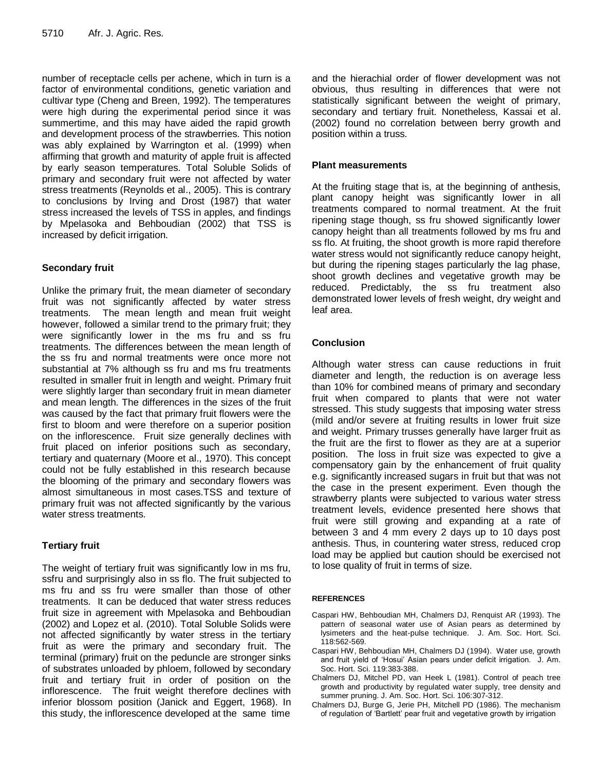number of receptacle cells per achene, which in turn is a factor of environmental conditions, genetic variation and cultivar type (Cheng and Breen, 1992). The temperatures were high during the experimental period since it was summertime, and this may have aided the rapid growth and development process of the strawberries. This notion was ably explained by Warrington et al. (1999) when affirming that growth and maturity of apple fruit is affected by early season temperatures. Total Soluble Solids of primary and secondary fruit were not affected by water stress treatments (Reynolds et al., 2005). This is contrary to conclusions by Irving and Drost (1987) that water stress increased the levels of TSS in apples, and findings by Mpelasoka and Behboudian (2002) that TSS is increased by deficit irrigation.

## **Secondary fruit**

Unlike the primary fruit, the mean diameter of secondary fruit was not significantly affected by water stress treatments. The mean length and mean fruit weight however, followed a similar trend to the primary fruit; they were significantly lower in the ms fru and ss fru treatments. The differences between the mean length of the ss fru and normal treatments were once more not substantial at 7% although ss fru and ms fru treatments resulted in smaller fruit in length and weight. Primary fruit were slightly larger than secondary fruit in mean diameter and mean length. The differences in the sizes of the fruit was caused by the fact that primary fruit flowers were the first to bloom and were therefore on a superior position on the inflorescence. Fruit size generally declines with fruit placed on inferior positions such as secondary, tertiary and quaternary (Moore et al., 1970). This concept could not be fully established in this research because the blooming of the primary and secondary flowers was almost simultaneous in most cases.TSS and texture of primary fruit was not affected significantly by the various water stress treatments.

## **Tertiary fruit**

The weight of tertiary fruit was significantly low in ms fru, ssfru and surprisingly also in ss flo. The fruit subjected to ms fru and ss fru were smaller than those of other treatments. It can be deduced that water stress reduces fruit size in agreement with Mpelasoka and Behboudian (2002) and Lopez et al. (2010). Total Soluble Solids were not affected significantly by water stress in the tertiary fruit as were the primary and secondary fruit. The terminal (primary) fruit on the peduncle are stronger sinks of substrates unloaded by phloem, followed by secondary fruit and tertiary fruit in order of position on the inflorescence. The fruit weight therefore declines with inferior blossom position (Janick and Eggert, 1968). In this study, the inflorescence developed at the same time

and the hierachial order of flower development was not obvious, thus resulting in differences that were not statistically significant between the weight of primary, secondary and tertiary fruit. Nonetheless, Kassai et al. (2002) found no correlation between berry growth and position within a truss.

## **Plant measurements**

At the fruiting stage that is, at the beginning of anthesis, plant canopy height was significantly lower in all treatments compared to normal treatment. At the fruit ripening stage though, ss fru showed significantly lower canopy height than all treatments followed by ms fru and ss flo. At fruiting, the shoot growth is more rapid therefore water stress would not significantly reduce canopy height, but during the ripening stages particularly the lag phase, shoot growth declines and vegetative growth may be reduced. Predictably, the ss fru treatment also demonstrated lower levels of fresh weight, dry weight and leaf area.

## **Conclusion**

Although water stress can cause reductions in fruit diameter and length, the reduction is on average less than 10% for combined means of primary and secondary fruit when compared to plants that were not water stressed. This study suggests that imposing water stress (mild and/or severe at fruiting results in lower fruit size and weight. Primary trusses generally have larger fruit as the fruit are the first to flower as they are at a superior position. The loss in fruit size was expected to give a compensatory gain by the enhancement of fruit quality e.g. significantly increased sugars in fruit but that was not the case in the present experiment. Even though the strawberry plants were subjected to various water stress treatment levels, evidence presented here shows that fruit were still growing and expanding at a rate of between 3 and 4 mm every 2 days up to 10 days post anthesis. Thus, in countering water stress, reduced crop load may be applied but caution should be exercised not to lose quality of fruit in terms of size.

## **REFERENCES**

- Caspari HW, Behboudian MH, Chalmers DJ, Renquist AR (1993). The pattern of seasonal water use of Asian pears as determined by lysimeters and the heat-pulse technique. J. Am. Soc. Hort. Sci. 118:562-569.
- Caspari HW, Behboudian MH, Chalmers DJ (1994). Water use, growth and fruit yield of 'Hosui' Asian pears under deficit irrigation. J. Am. Soc. Hort. Sci. 119:383-388.
- Chalmers DJ, Mitchel PD, van Heek L (1981). Control of peach tree growth and productivity by regulated water supply, tree density and summer pruning. J. Am. Soc. Hort. Sci. 106:307-312.
- Chalmers DJ, Burge G, Jerie PH, Mitchell PD (1986). The mechanism of regulation of 'Bartlett' pear fruit and vegetative growth by irrigation